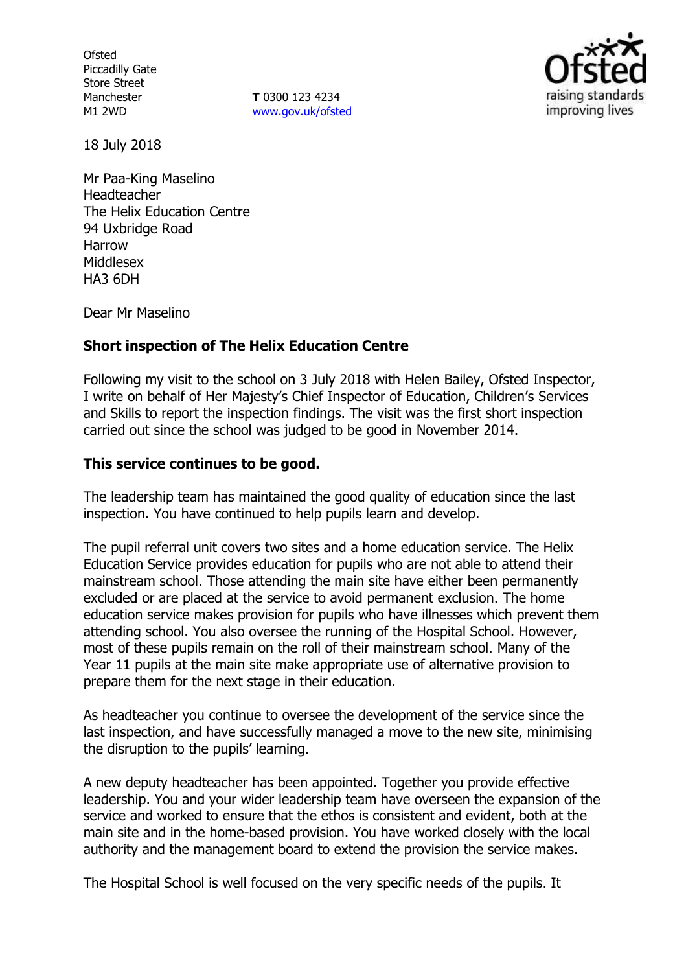**Ofsted** Piccadilly Gate Store Street Manchester M1 2WD

**T** 0300 123 4234 www.gov.uk/ofsted



18 July 2018

Mr Paa-King Maselino Headteacher The Helix Education Centre 94 Uxbridge Road Harrow Middlesex HA3 6DH

Dear Mr Maselino

### **Short inspection of The Helix Education Centre**

Following my visit to the school on 3 July 2018 with Helen Bailey, Ofsted Inspector, I write on behalf of Her Majesty's Chief Inspector of Education, Children's Services and Skills to report the inspection findings. The visit was the first short inspection carried out since the school was judged to be good in November 2014.

#### **This service continues to be good.**

The leadership team has maintained the good quality of education since the last inspection. You have continued to help pupils learn and develop.

The pupil referral unit covers two sites and a home education service. The Helix Education Service provides education for pupils who are not able to attend their mainstream school. Those attending the main site have either been permanently excluded or are placed at the service to avoid permanent exclusion. The home education service makes provision for pupils who have illnesses which prevent them attending school. You also oversee the running of the Hospital School. However, most of these pupils remain on the roll of their mainstream school. Many of the Year 11 pupils at the main site make appropriate use of alternative provision to prepare them for the next stage in their education.

As headteacher you continue to oversee the development of the service since the last inspection, and have successfully managed a move to the new site, minimising the disruption to the pupils' learning.

A new deputy headteacher has been appointed. Together you provide effective leadership. You and your wider leadership team have overseen the expansion of the service and worked to ensure that the ethos is consistent and evident, both at the main site and in the home-based provision. You have worked closely with the local authority and the management board to extend the provision the service makes.

The Hospital School is well focused on the very specific needs of the pupils. It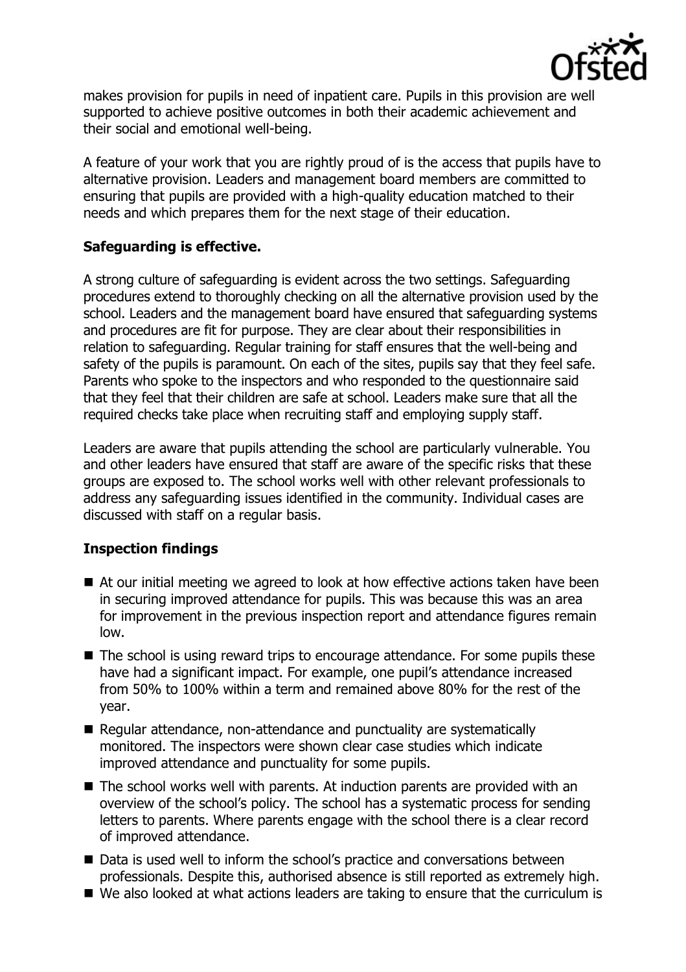

makes provision for pupils in need of inpatient care. Pupils in this provision are well supported to achieve positive outcomes in both their academic achievement and their social and emotional well-being.

A feature of your work that you are rightly proud of is the access that pupils have to alternative provision. Leaders and management board members are committed to ensuring that pupils are provided with a high-quality education matched to their needs and which prepares them for the next stage of their education.

## **Safeguarding is effective.**

A strong culture of safeguarding is evident across the two settings. Safeguarding procedures extend to thoroughly checking on all the alternative provision used by the school. Leaders and the management board have ensured that safeguarding systems and procedures are fit for purpose. They are clear about their responsibilities in relation to safeguarding. Regular training for staff ensures that the well-being and safety of the pupils is paramount. On each of the sites, pupils say that they feel safe. Parents who spoke to the inspectors and who responded to the questionnaire said that they feel that their children are safe at school. Leaders make sure that all the required checks take place when recruiting staff and employing supply staff.

Leaders are aware that pupils attending the school are particularly vulnerable. You and other leaders have ensured that staff are aware of the specific risks that these groups are exposed to. The school works well with other relevant professionals to address any safeguarding issues identified in the community. Individual cases are discussed with staff on a regular basis.

# **Inspection findings**

- At our initial meeting we agreed to look at how effective actions taken have been in securing improved attendance for pupils. This was because this was an area for improvement in the previous inspection report and attendance figures remain low.
- The school is using reward trips to encourage attendance. For some pupils these have had a significant impact. For example, one pupil's attendance increased from 50% to 100% within a term and remained above 80% for the rest of the year.
- Regular attendance, non-attendance and punctuality are systematically monitored. The inspectors were shown clear case studies which indicate improved attendance and punctuality for some pupils.
- The school works well with parents. At induction parents are provided with an overview of the school's policy. The school has a systematic process for sending letters to parents. Where parents engage with the school there is a clear record of improved attendance.
- Data is used well to inform the school's practice and conversations between professionals. Despite this, authorised absence is still reported as extremely high.
- We also looked at what actions leaders are taking to ensure that the curriculum is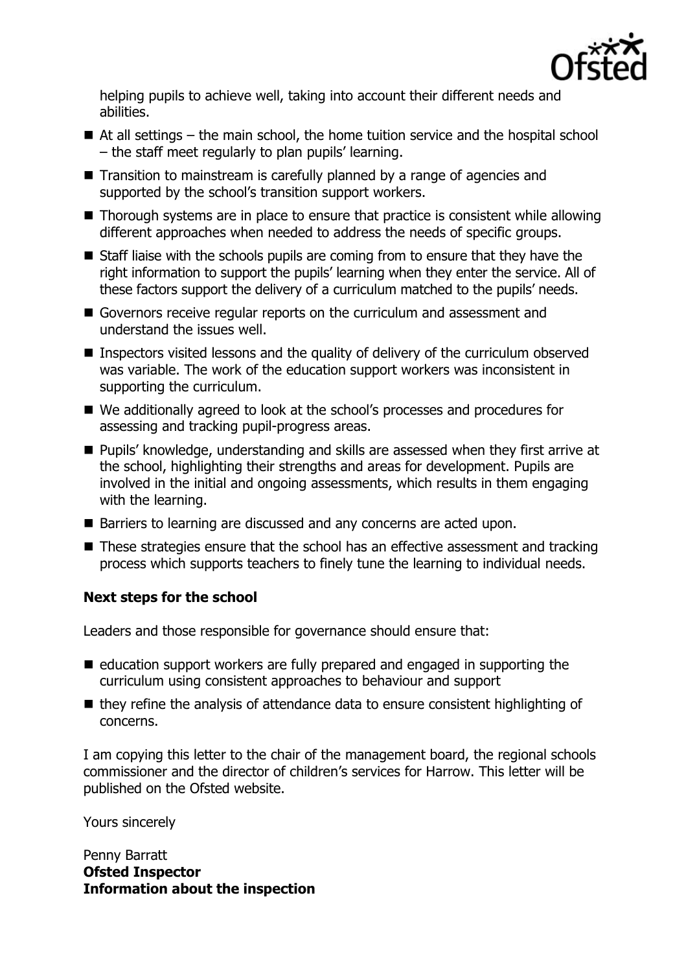

helping pupils to achieve well, taking into account their different needs and abilities.

- $\blacksquare$  At all settings the main school, the home tuition service and the hospital school – the staff meet regularly to plan pupils' learning.
- Transition to mainstream is carefully planned by a range of agencies and supported by the school's transition support workers.
- Thorough systems are in place to ensure that practice is consistent while allowing different approaches when needed to address the needs of specific groups.
- Staff liaise with the schools pupils are coming from to ensure that they have the right information to support the pupils' learning when they enter the service. All of these factors support the delivery of a curriculum matched to the pupils' needs.
- Governors receive regular reports on the curriculum and assessment and understand the issues well.
- **Inspectors visited lessons and the quality of delivery of the curriculum observed** was variable. The work of the education support workers was inconsistent in supporting the curriculum.
- We additionally agreed to look at the school's processes and procedures for assessing and tracking pupil-progress areas.
- Pupils' knowledge, understanding and skills are assessed when they first arrive at the school, highlighting their strengths and areas for development. Pupils are involved in the initial and ongoing assessments, which results in them engaging with the learning.
- Barriers to learning are discussed and any concerns are acted upon.
- These strategies ensure that the school has an effective assessment and tracking process which supports teachers to finely tune the learning to individual needs.

# **Next steps for the school**

Leaders and those responsible for governance should ensure that:

- $\blacksquare$  education support workers are fully prepared and engaged in supporting the curriculum using consistent approaches to behaviour and support
- $\blacksquare$  they refine the analysis of attendance data to ensure consistent highlighting of concerns.

I am copying this letter to the chair of the management board, the regional schools commissioner and the director of children's services for Harrow. This letter will be published on the Ofsted website.

Yours sincerely

Penny Barratt **Ofsted Inspector Information about the inspection**